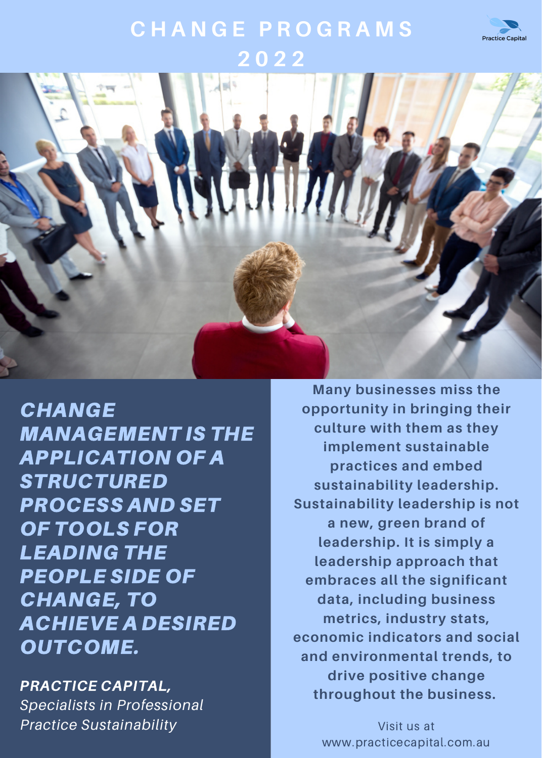

## **C H A N G E P R O G R A M S 2 0 2 2**



**CHANGE** MANAGEMENT IS THE APPLICATION OF A **STRUCTURED** PROCESS AND SET OF TOOLS FOR LEADING THE PEOPLE SIDE OF CHANGE, TO ACHIEVE A DESIRED OUTCOME.

PRACTICE CAPITAL, *Specialists in Professional Practice Sustainability*

**Many businesses miss the opportunity in bringing their culture with them as they implement sustainable practices and embed sustainability leadership. Sustainability leadership is not a new, green brand of leadership. It is simply a leadership approach that embraces all the significant data, including business metrics, industry stats, economic indicators and social and environmental trends, to drive positive change throughout the business.**

> Visit us at www.practicecapital.com.au